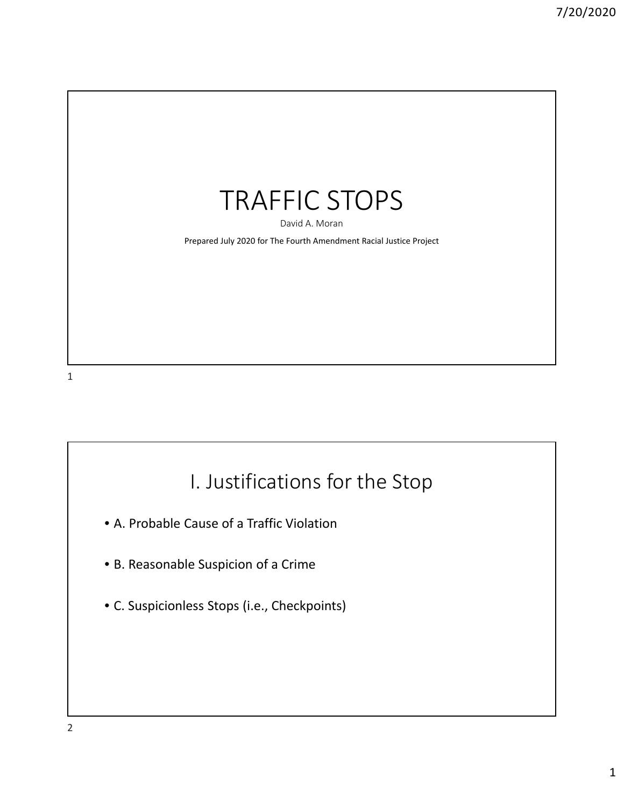

David A. Moran

Prepared July 2020 for The Fourth Amendment Racial Justice Project

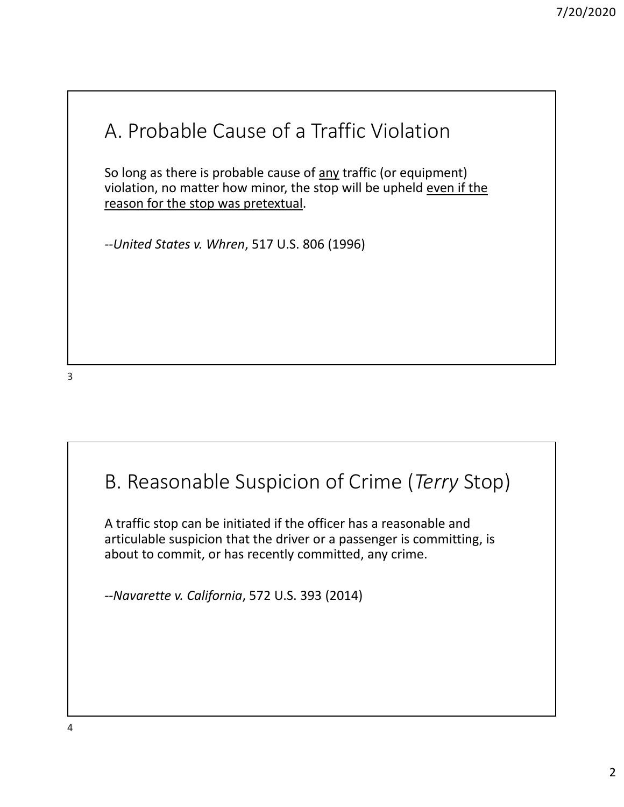## A. Probable Cause of a Traffic Violation

So long as there is probable cause of <u>any</u> traffic (or equipment) violation, no matter how minor, the stop will be upheld even if the reason for the stop was pretextual.

*‐‐United States v. Whren*, 517 U.S. 806 (1996)

3

## B. Reasonable Suspicion of Crime (*Terry* Stop)

A traffic stop can be initiated if the officer has a reasonable and articulable suspicion that the driver or a passenger is committing, is about to commit, or has recently committed, any crime.

*‐‐Navarette v. California*, 572 U.S. 393 (2014)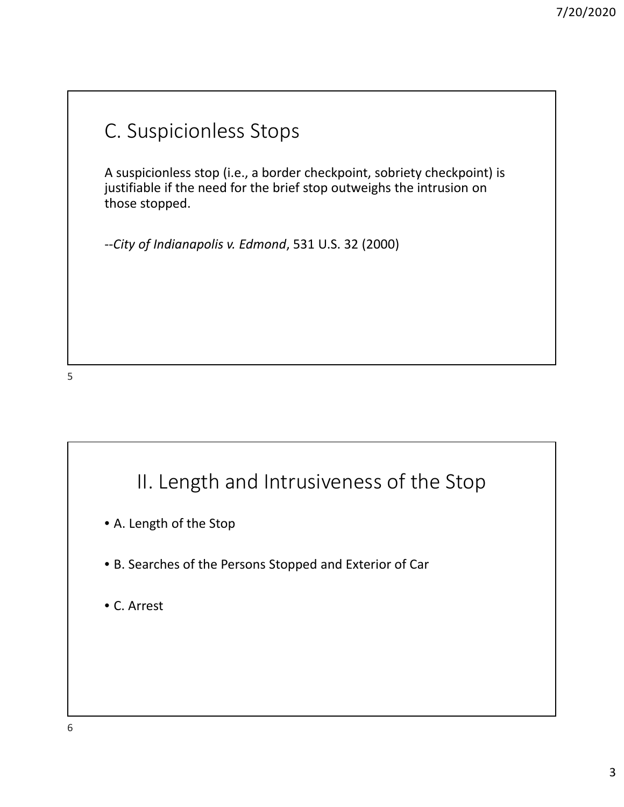## C. Suspicionless Stops

A suspicionless stop (i.e., a border checkpoint, sobriety checkpoint) is justifiable if the need for the brief stop outweighs the intrusion on those stopped.

‐‐*City of Indianapolis v. Edmond*, 531 U.S. 32 (2000)

#### 5

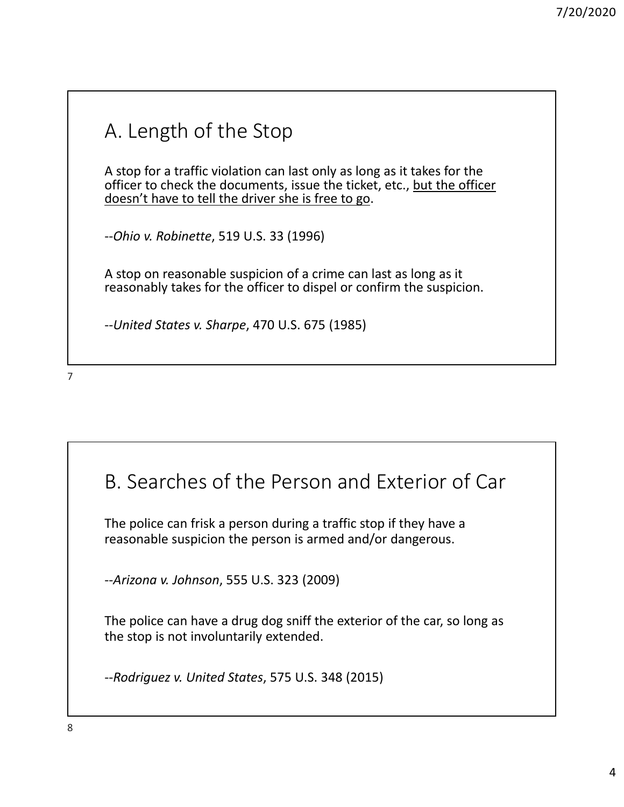# A. Length of the Stop

A stop for a traffic violation can last only as long as it takes for the officer to check the documents, issue the ticket, etc., but the officer doesn't have to tell the driver she is free to go.

‐‐*Ohio v. Robinette*, 519 U.S. 33 (1996)

A stop on reasonable suspicion of a crime can last as long as it reasonably takes for the officer to dispel or confirm the suspicion.

‐‐*United States v. Sharpe*, 470 U.S. 675 (1985)

7

#### B. Searches of the Person and Exterior of Car

The police can frisk a person during a traffic stop if they have a reasonable suspicion the person is armed and/or dangerous.

‐‐*Arizona v. Johnson*, 555 U.S. 323 (2009)

The police can have a drug dog sniff the exterior of the car, so long as the stop is not involuntarily extended.

‐‐*Rodriguez v. United States*, 575 U.S. 348 (2015)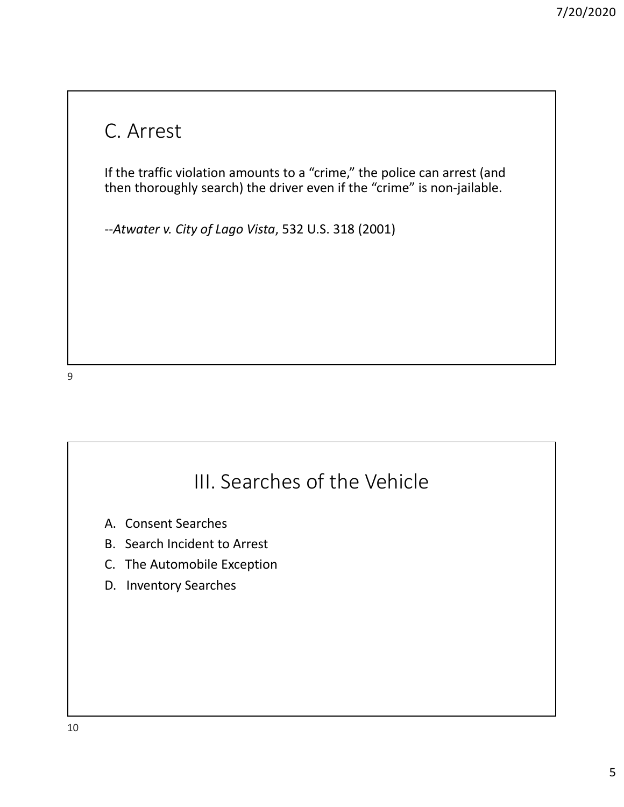#### C. Arrest

If the traffic violation amounts to a "crime," the police can arrest (and then thoroughly search) the driver even if the "crime" is non‐jailable.

‐‐*Atwater v. City of Lago Vista*, 532 U.S. 318 (2001)

## III. Searches of the Vehicle

- A. Consent Searches
- B. Search Incident to Arrest
- C. The Automobile Exception
- D. Inventory Searches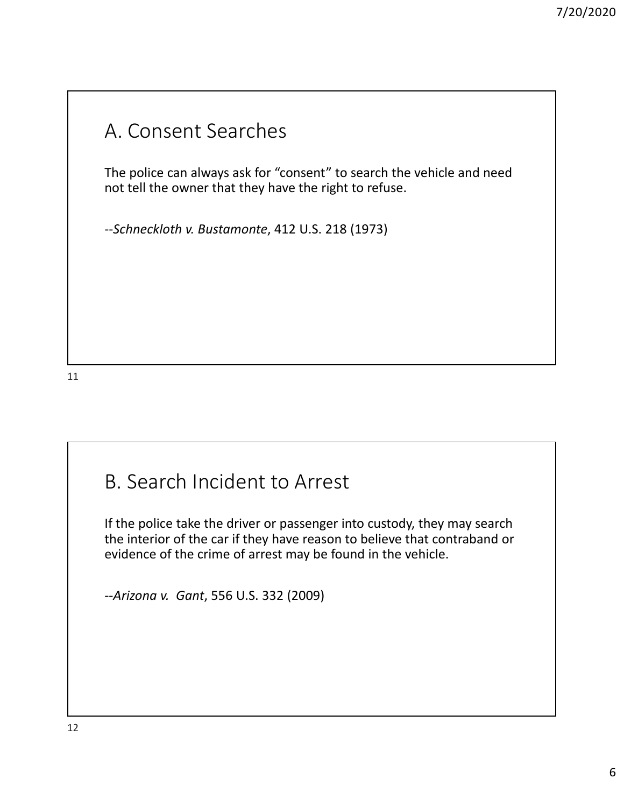## A. Consent Searches

The police can always ask for "consent" to search the vehicle and need not tell the owner that they have the right to refuse.

‐‐*Schneckloth v. Bustamonte*, 412 U.S. 218 (1973)

11

## B. Search Incident to Arrest

If the police take the driver or passenger into custody, they may search the interior of the car if they have reason to believe that contraband or evidence of the crime of arrest may be found in the vehicle.

‐‐*Arizona v. Gant*, 556 U.S. 332 (2009)